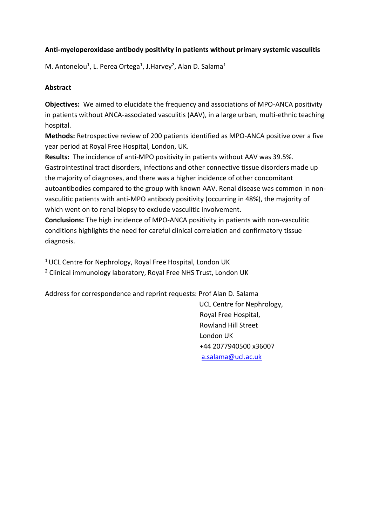# **Anti-myeloperoxidase antibody positivity in patients without primary systemic vasculitis**

M. Antonelou<sup>1</sup>, L. Perea Ortega<sup>1</sup>, J.Harvey<sup>2</sup>, Alan D. Salama<sup>1</sup>

# **Abstract**

**Objectives:** We aimed to elucidate the frequency and associations of MPO-ANCA positivity in patients without ANCA-associated vasculitis (AAV), in a large urban, multi-ethnic teaching hospital.

**Methods:** Retrospective review of 200 patients identified as MPO-ANCA positive over a five year period at Royal Free Hospital, London, UK.

**Results:** The incidence of anti-MPO positivity in patients without AAV was 39.5%. Gastrointestinal tract disorders, infections and other connective tissue disorders made up the majority of diagnoses, and there was a higher incidence of other concomitant autoantibodies compared to the group with known AAV. Renal disease was common in nonvasculitic patients with anti-MPO antibody positivity (occurring in 48%), the majority of which went on to renal biopsy to exclude vasculitic involvement.

**Conclusions:** The high incidence of MPO-ANCA positivity in patients with non-vasculitic conditions highlights the need for careful clinical correlation and confirmatory tissue diagnosis.

<sup>1</sup> UCL Centre for Nephrology, Royal Free Hospital, London UK

<sup>2</sup> Clinical immunology laboratory, Royal Free NHS Trust, London UK

Address for correspondence and reprint requests: Prof Alan D. Salama

 UCL Centre for Nephrology, Royal Free Hospital, Rowland Hill Street London UK +44 2077940500 x36007 [a.salama@ucl.ac.uk](mailto:a.salama@ucl.ac.uk)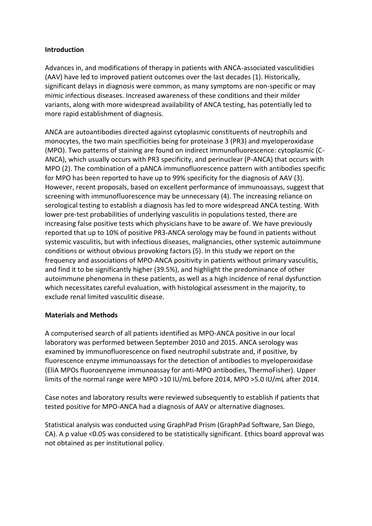## **Introduction**

Advances in, and modifications of therapy in patients with ANCA-associated vasculitidies (AAV) have led to improved patient outcomes over the last decades (1). Historically, significant delays in diagnosis were common, as many symptoms are non-specific or may mimic infectious diseases. Increased awareness of these conditions and their milder variants, along with more widespread availability of ANCA testing, has potentially led to more rapid establishment of diagnosis.

ANCA are autoantibodies directed against cytoplasmic constituents of neutrophils and monocytes, the two main specificities being for proteinase 3 (PR3) and myeloperoxidase (MPO). Two patterns of staining are found on indirect immunofluorescence: cytoplasmic (C-ANCA), which usually occurs with PR3 specificity, and perinuclear (P-ANCA) that occurs with MPO (2). The combination of a pANCA immunofluorescence pattern with antibodies specific for MPO has been reported to have up to 99% specificity for the diagnosis of AAV (3). However, recent proposals, based on excellent performance of immunoassays, suggest that screening with immunofluorescence may be unnecessary (4). The increasing reliance on serological testing to establish a diagnosis has led to more widespread ANCA testing. With lower pre-test probabilities of underlying vasculitis in populations tested, there are increasing false positive tests which physicians have to be aware of. We have previously reported that up to 10% of positive PR3-ANCA serology may be found in patients without systemic vasculitis, but with infectious diseases, malignancies, other systemic autoimmune conditions or without obvious provoking factors (5). In this study we report on the frequency and associations of MPO-ANCA positivity in patients without primary vasculitis, and find it to be significantly higher (39.5%), and highlight the predominance of other autoimmune phenomena in these patients, as well as a high incidence of renal dysfunction which necessitates careful evaluation, with histological assessment in the majority, to exclude renal limited vasculitic disease.

# **Materials and Methods**

A computerised search of all patients identified as MPO-ANCA positive in our local laboratory was performed between September 2010 and 2015. ANCA serology was examined by immunofluorescence on fixed neutrophil substrate and, if positive, by fluorescence enzyme immunoassays for the detection of antibodies to myeloperoxidase (EliA MPOs fluoroenzyeme immunoassay for anti-MPO antibodies, ThermoFisher). Upper limits of the normal range were MPO >10 IU/mL before 2014, MPO >5.0 IU/mL after 2014.

Case notes and laboratory results were reviewed subsequently to establish if patients that tested positive for MPO-ANCA had a diagnosis of AAV or alternative diagnoses.

Statistical analysis was conducted using GraphPad Prism (GraphPad Software, San Diego, CA). A p value <0.05 was considered to be statistically significant. Ethics board approval was not obtained as per institutional policy.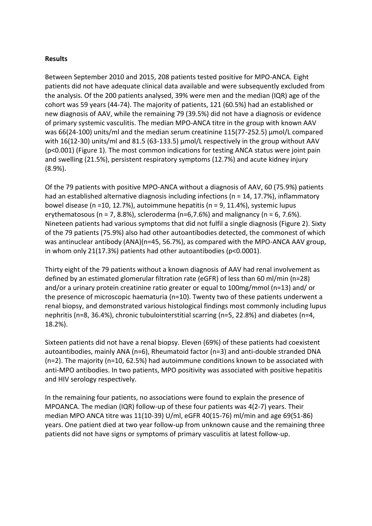#### **Results**

Between September 2010 and 2015, 208 patients tested positive for MPO-ANCA. Eight patients did not have adequate clinical data available and were subsequently excluded from the analysis. Of the 200 patients analysed, 39% were men and the median (IQR) age of the cohort was 59 years (44-74). The majority of patients, 121 (60.5%) had an established or new diagnosis of AAV, while the remaining 79 (39.5%) did not have a diagnosis or evidence of primary systemic vasculitis. The median MPO-ANCA titre in the group with known AAV was 66(24-100) units/ml and the median serum creatinine 115(77-252.5) μmol/L compared with 16(12-30) units/ml and 81.5 (63-133.5) μmol/L respectively in the group without AAV (p<0.001) (Figure 1). The most common indications for testing ANCA status were joint pain and swelling (21.5%), persistent respiratory symptoms (12.7%) and acute kidney injury (8.9%).

Of the 79 patients with positive MPO-ANCA without a diagnosis of AAV, 60 (75.9%) patients had an established alternative diagnosis including infections (n = 14, 17.7%), inflammatory bowel disease (n =10, 12.7%), autoimmune hepatitis (n = 9, 11.4%), systemic lupus erythematosous (n = 7, 8.8%), scleroderma (n=6,7.6%) and malignancy (n = 6, 7.6%). Nineteen patients had various symptoms that did not fulfil a single diagnosis (Figure 2). Sixty of the 79 patients (75.9%) also had other autoantibodies detected, the commonest of which was antinuclear antibody (ANA)(n=45, 56.7%), as compared with the MPO-ANCA AAV group, in whom only 21(17.3%) patients had other autoantibodies (p<0.0001).

Thirty eight of the 79 patients without a known diagnosis of AAV had renal involvement as defined by an estimated glomerular filtration rate (eGFR) of less than 60 ml/min (n=28) and/or a urinary protein creatinine ratio greater or equal to 100mg/mmol (n=13) and/ or the presence of microscopic haematuria (n=10). Twenty two of these patients underwent a renal biopsy, and demonstrated various histological findings most commonly including lupus nephritis (n=8, 36.4%), chronic tubulointerstitial scarring (n=5, 22.8%) and diabetes (n=4, 18.2%).

Sixteen patients did not have a renal biopsy. Eleven (69%) of these patients had coexistent autoantibodies, mainly ANA (n=6), Rheumatoid factor (n=3) and anti-double stranded DNA (n=2). The majority (n=10, 62.5%) had autoimmune conditions known to be associated with anti-MPO antibodies. In two patients, MPO positivity was associated with positive hepatitis and HIV serology respectively.

In the remaining four patients, no associations were found to explain the presence of MPOANCA. The median (IQR) follow-up of these four patients was 4(2-7) years. Their median MPO ANCA titre was 11(10-39) U/ml, eGFR 40(15-76) ml/min and age 69(51-86) years. One patient died at two year follow-up from unknown cause and the remaining three patients did not have signs or symptoms of primary vasculitis at latest follow-up.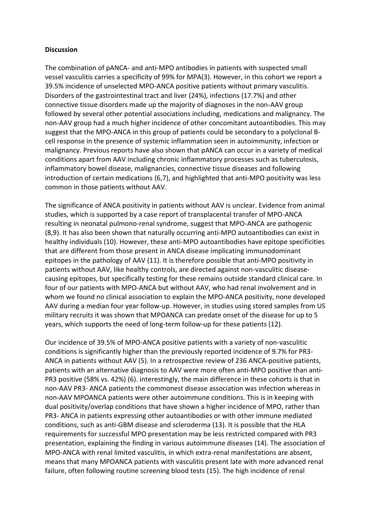#### **Discussion**

The combination of pANCA- and anti-MPO antibodies in patients with suspected small vessel vasculitis carries a specificity of 99% for MPA(3). However, in this cohort we report a 39.5% incidence of unselected MPO-ANCA positive patients without primary vasculitis. Disorders of the gastrointestinal tract and liver (24%), infections (17.7%) and other connective tissue disorders made up the majority of diagnoses in the non-AAV group followed by several other potential associations including, medications and malignancy. The non-AAV group had a much higher incidence of other concomitant autoantibodies. This may suggest that the MPO-ANCA in this group of patients could be secondary to a polyclonal Bcell response in the presence of systemic inflammation seen in autoimmunity, infection or malignancy. Previous reports have also shown that pANCA can occur in a variety of medical conditions apart from AAV including chronic inflammatory processes such as tuberculosis, inflammatory bowel disease, malignancies, connective tissue diseases and following introduction of certain medications (6,7), and highlighted that anti-MPO positivity was less common in those patients without AAV.

The significance of ANCA positivity in patients without AAV is unclear. Evidence from animal studies, which is supported by a case report of transplacental transfer of MPO-ANCA resulting in neonatal pulmono-renal syndrome, suggest that MPO-ANCA are pathogenic (8,9). It has also been shown that naturally occurring anti-MPO autoantibodies can exist in healthy individuals (10). However, these anti-MPO autoantibodies have epitope specificities that are different from those present in ANCA disease implicating immunodominant epitopes in the pathology of AAV (11). It is therefore possible that anti-MPO positivity in patients without AAV, like healthy controls, are directed against non-vasculitic diseasecausing epitopes, but specifically testing for these remains outside standard clinical care. In four of our patients with MPO-ANCA but without AAV, who had renal involvement and in whom we found no clinical association to explain the MPO-ANCA positivity, none developed AAV during a median four year follow-up. However, in studies using stored samples from US military recruits it was shown that MPOANCA can predate onset of the disease for up to 5 years, which supports the need of long-term follow-up for these patients (12).

Our incidence of 39.5% of MPO-ANCA positive patients with a variety of non-vasculitic conditions is significantly higher than the previously reported incidence of 9.7% for PR3- ANCA in patients without AAV (5). In a retrospective review of 236 ANCA-positive patients, patients with an alternative diagnosis to AAV were more often anti-MPO positive than anti-PR3 positive (58% vs. 42%) (6). interestingly, the main difference in these cohorts is that in non-AAV PR3- ANCA patients the commonest disease association was infection whereas in non-AAV MPOANCA patients were other autoimmune conditions. This is in keeping with dual positivity/overlap conditions that have shown a higher incidence of MPO, rather than PR3- ANCA in patients expressing other autoantibodies or with other immune mediated conditions, such as anti-GBM disease and scleroderma (13). It is possible that the HLA requirements for successful MPO presentation may be less restricted compared with PR3 presentation, explaining the finding in various autoimmune diseases (14). The association of MPO-ANCA with renal limited vasculitis, in which extra-renal manifestations are absent, means that many MPOANCA patients with vasculitis present late with more advanced renal failure, often following routine screening blood tests (15). The high incidence of renal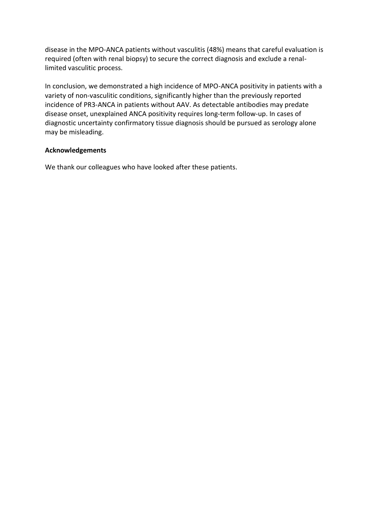disease in the MPO-ANCA patients without vasculitis (48%) means that careful evaluation is required (often with renal biopsy) to secure the correct diagnosis and exclude a renallimited vasculitic process.

In conclusion, we demonstrated a high incidence of MPO-ANCA positivity in patients with a variety of non-vasculitic conditions, significantly higher than the previously reported incidence of PR3-ANCA in patients without AAV. As detectable antibodies may predate disease onset, unexplained ANCA positivity requires long-term follow-up. In cases of diagnostic uncertainty confirmatory tissue diagnosis should be pursued as serology alone may be misleading.

### **Acknowledgements**

We thank our colleagues who have looked after these patients.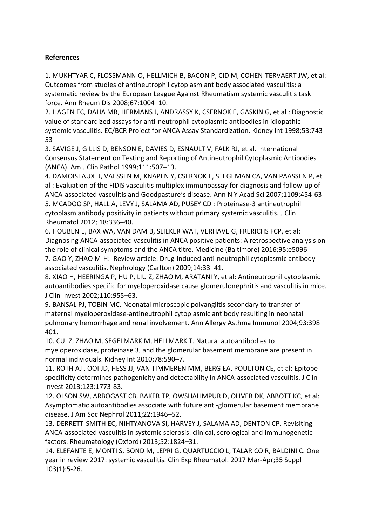## **References**

1. MUKHTYAR C, FLOSSMANN O, HELLMICH B, BACON P, CID M, COHEN-TERVAERT JW, et al: Outcomes from studies of antineutrophil cytoplasm antibody associated vasculitis: a systematic review by the European League Against Rheumatism systemic vasculitis task force. Ann Rheum Dis 2008;67:1004–10.

2. HAGEN EC, DAHA MR, HERMANS J, ANDRASSY K, CSERNOK E, GASKIN G, et al : Diagnostic value of standardized assays for anti-neutrophil cytoplasmic antibodies in idiopathic systemic vasculitis. EC/BCR Project for ANCA Assay Standardization. Kidney Int 1998;53:743 53

3. SAVIGE J, GILLIS D, BENSON E, DAVIES D, ESNAULT V, FALK RJ, et al. International Consensus Statement on Testing and Reporting of Antineutrophil Cytoplasmic Antibodies (ANCA). Am J Clin Pathol 1999;111:507–13.

4. DAMOISEAUX J, VAESSEN M, KNAPEN Y, CSERNOK E, STEGEMAN CA, VAN PAASSEN P, et al : Evaluation of the FIDIS vasculitis multiplex immunoassay for diagnosis and follow-up of ANCA-associated vasculitis and Goodpasture's disease. Ann N Y Acad Sci 2007;1109:454-63 5. MCADOO SP, HALL A, LEVY J, SALAMA AD, PUSEY CD : Proteinase-3 antineutrophil cytoplasm antibody positivity in patients without primary systemic vasculitis. J Clin Rheumatol 2012; 18:336–40.

6. HOUBEN E, BAX WA, VAN DAM B, SLIEKER WAT, VERHAVE G, FRERICHS FCP, et al: Diagnosing ANCA-associated vasculitis in ANCA positive patients: A retrospective analysis on the role of clinical symptoms and the ANCA titre. Medicine (Baltimore) 2016;95:e5096 7. GAO Y, ZHAO M-H: Review article: Drug-induced anti-neutrophil cytoplasmic antibody associated vasculitis. Nephrology (Carlton) 2009;14:33–41.

8. XIAO H, HEERINGA P, HU P, LIU Z, ZHAO M, ARATANI Y, et al: Antineutrophil cytoplasmic autoantibodies specific for myeloperoxidase cause glomerulonephritis and vasculitis in mice. J Clin Invest 2002;110:955–63.

9. BANSAL PJ, TOBIN MC. Neonatal microscopic polyangiitis secondary to transfer of maternal myeloperoxidase-antineutrophil cytoplasmic antibody resulting in neonatal pulmonary hemorrhage and renal involvement. Ann Allergy Asthma Immunol 2004;93:398 401.

10. CUI Z, ZHAO M, SEGELMARK M, HELLMARK T. Natural autoantibodies to myeloperoxidase, proteinase 3, and the glomerular basement membrane are present in normal individuals. Kidney Int 2010;78:590–7.

11. ROTH AJ , OOI JD, HESS JJ, VAN TIMMEREN MM, BERG EA, POULTON CE, et al: Epitope specificity determines pathogenicity and detectability in ANCA-associated vasculitis. J Clin Invest 2013;123:1773-83.

12. OLSON SW, ARBOGAST CB, BAKER TP, OWSHALIMPUR D, OLIVER DK, ABBOTT KC, et al: Asymptomatic autoantibodies associate with future anti-glomerular basement membrane disease. J Am Soc Nephrol 2011;22:1946–52.

13. DERRETT-SMITH EC, NIHTYANOVA SI, HARVEY J, SALAMA AD, DENTON CP. Revisiting ANCA-associated vasculitis in systemic sclerosis: clinical, serological and immunogenetic factors. Rheumatology (Oxford) 2013;52:1824–31.

14. ELEFANTE E, MONTI S, BOND M, LEPRI G, QUARTUCCIO L, TALARICO R, BALDINI C. One year in review 2017: systemic vasculitis. Clin Exp Rheumatol. 2017 Mar-Apr;35 Suppl 103(1):5-26.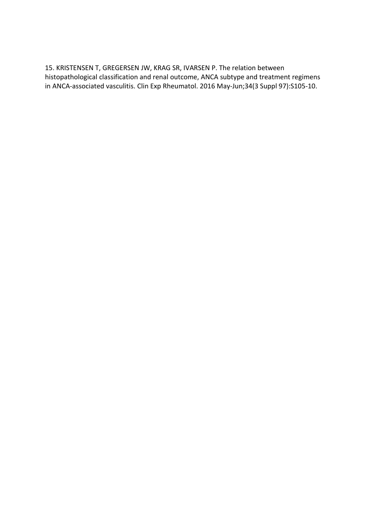15. KRISTENSEN T, GREGERSEN JW, KRAG SR, IVARSEN P. The relation between histopathological classification and renal outcome, ANCA subtype and treatment regimens in ANCA-associated vasculitis. Clin Exp Rheumatol. 2016 May-Jun;34(3 Suppl 97):S105-10.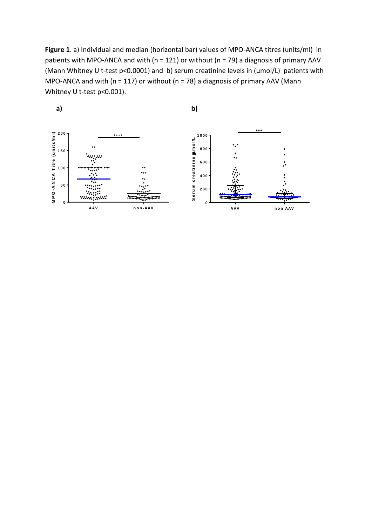**Figure 1**. a) Individual and median (horizontal bar) values of MPO-ANCA titres (units/ml) in patients with MPO-ANCA and with ( $n = 121$ ) or without ( $n = 79$ ) a diagnosis of primary AAV (Mann Whitney U t-test p<0.0001) and b) serum creatinine levels in (μmol/L) patients with MPO-ANCA and with (n = 117) or without (n = 78) a diagnosis of primary AAV (Mann Whitney U t-test p<0.001).